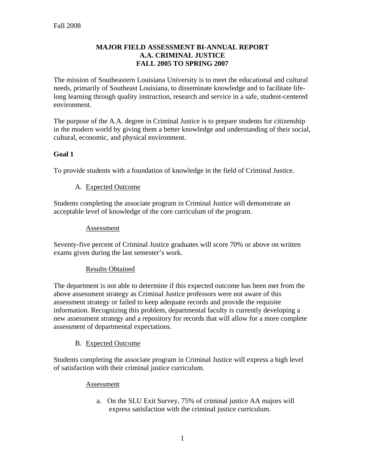#### **MAJOR FIELD ASSESSMENT BI-ANNUAL REPORT A.A. CRIMINAL JUSTICE FALL 2005 TO SPRING 2007**

The mission of Southeastern Louisiana University is to meet the educational and cultural needs, primarily of Southeast Louisiana, to disseminate knowledge and to facilitate lifelong learning through quality instruction, research and service in a safe, student-centered environment.

The purpose of the A.A. degree in Criminal Justice is to prepare students for citizenship in the modern world by giving them a better knowledge and understanding of their social, cultural, economic, and physical environment.

## **Goal 1**

To provide students with a foundation of knowledge in the field of Criminal Justice.

## A. Expected Outcome

Students completing the associate program in Criminal Justice will demonstrate an acceptable level of knowledge of the core curriculum of the program.

#### Assessment

Seventy-five percent of Criminal Justice graduates will score 70% or above on written exams given during the last semester's work.

## Results Obtained

The department is not able to determine if this expected outcome has been met from the above assessment strategy as Criminal Justice professors were not aware of this assessment strategy or failed to keep adequate records and provide the requisite information. Recognizing this problem, departmental faculty is currently developing a new assessment strategy and a repository for records that will allow for a more complete assessment of departmental expectations.

## B. Expected Outcome

Students completing the associate program in Criminal Justice will express a high level of satisfaction with their criminal justice curriculum.

#### Assessment

a. On the SLU Exit Survey, 75% of criminal justice AA majors will express satisfaction with the criminal justice curriculum.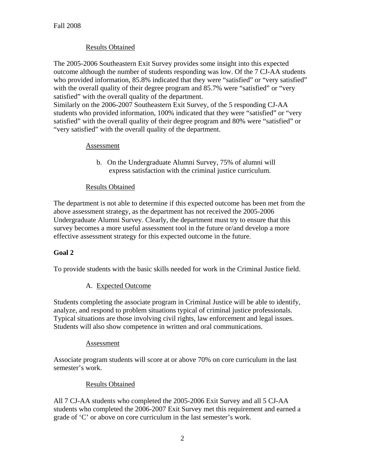## Results Obtained

The 2005-2006 Southeastern Exit Survey provides some insight into this expected outcome although the number of students responding was low. Of the 7 CJ-AA students who provided information, 85.8% indicated that they were "satisfied" or "very satisfied" with the overall quality of their degree program and 85.7% were "satisfied" or "very satisfied" with the overall quality of the department.

Similarly on the 2006-2007 Southeastern Exit Survey, of the 5 responding CJ-AA students who provided information, 100% indicated that they were "satisfied" or "very satisfied" with the overall quality of their degree program and 80% were "satisfied" or "very satisfied" with the overall quality of the department.

## Assessment

b. On the Undergraduate Alumni Survey, 75% of alumni will express satisfaction with the criminal justice curriculum.

#### Results Obtained

The department is not able to determine if this expected outcome has been met from the above assessment strategy, as the department has not received the 2005-2006 Undergraduate Alumni Survey. Clearly, the department must try to ensure that this survey becomes a more useful assessment tool in the future or/and develop a more effective assessment strategy for this expected outcome in the future.

## **Goal 2**

To provide students with the basic skills needed for work in the Criminal Justice field.

## A. Expected Outcome

Students completing the associate program in Criminal Justice will be able to identify, analyze, and respond to problem situations typical of criminal justice professionals. Typical situations are those involving civil rights, law enforcement and legal issues. Students will also show competence in written and oral communications.

#### Assessment

Associate program students will score at or above 70% on core curriculum in the last semester's work.

## Results Obtained

All 7 CJ-AA students who completed the 2005-2006 Exit Survey and all 5 CJ-AA students who completed the 2006-2007 Exit Survey met this requirement and earned a grade of 'C' or above on core curriculum in the last semester's work.